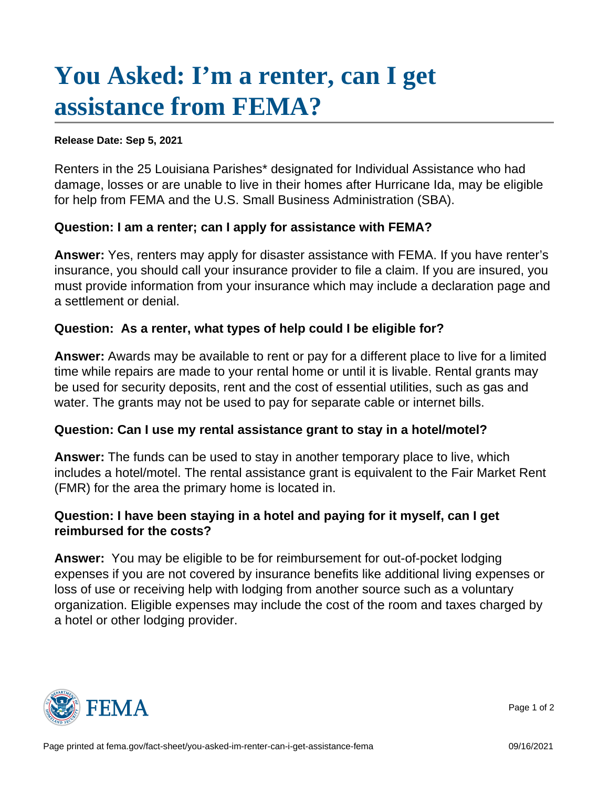## [You Asked: I'm a renter, can I get](https://www.fema.gov/fact-sheet/you-asked-im-renter-can-i-get-assistance-fema)  [assistance from FEMA?](https://www.fema.gov/fact-sheet/you-asked-im-renter-can-i-get-assistance-fema)

Release Date: Sep 5, 2021

Renters in the 25 Louisiana Parishes\* designated for Individual Assistance who had damage, losses or are unable to live in their homes after Hurricane Ida, may be eligible for help from FEMA and the U.S. Small Business Administration (SBA).

Question: I am a renter; can I apply for assistance with FEMA?

Answer: Yes, renters may apply for disaster assistance with FEMA. If you have renter's insurance, you should call your insurance provider to file a claim. If you are insured, you must provide information from your insurance which may include a declaration page and a settlement or denial.

Question: As a renter, what types of help could I be eligible for?

Answer: Awards may be available to rent or pay for a different place to live for a limited time while repairs are made to your rental home or until it is livable. Rental grants may be used for security deposits, rent and the cost of essential utilities, such as gas and water. The grants may not be used to pay for separate cable or internet bills.

Question: Can I use my rental assistance grant to stay in a hotel/motel?

Answer: The funds can be used to stay in another temporary place to live, which includes a hotel/motel. The rental assistance grant is equivalent to the Fair Market Rent (FMR) for the area the primary home is located in.

Question: I have been staying in a hotel and paying for it myself, can I get reimbursed for the costs?

Answer: You may be eligible to be for reimbursement for out-of-pocket lodging expenses if you are not covered by insurance benefits like additional living expenses or loss of use or receiving help with lodging from another source such as a voluntary organization. Eligible expenses may include the cost of the room and taxes charged by a hotel or other lodging provider.



Page 1 of 2